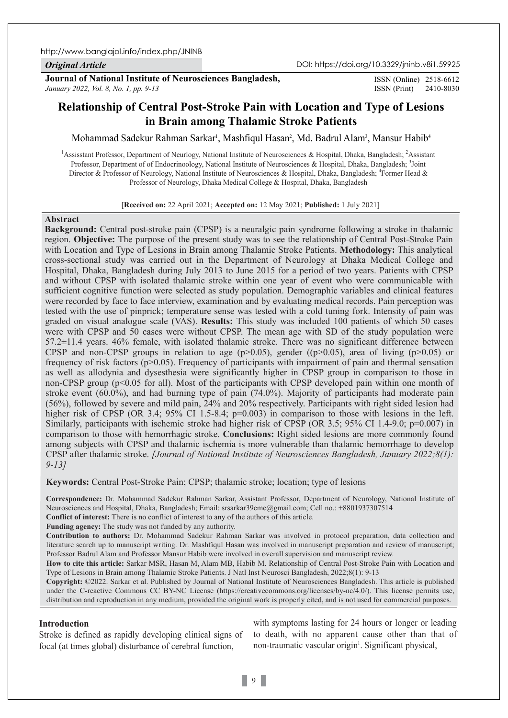## *Original Article*

ISSN (Print) 2410-8030 ISSN (Online) 2518-6612

# **Relationship of Central Post-Stroke Pain with Location and Type of Lesions in Brain among Thalamic Stroke Patients**

Mohammad Sadekur Rahman Sarkar<sup>ı</sup>, Mashfiqul Hasan<sup>2</sup>, Md. Badrul Alam<sup>3</sup>, Mansur Habib<sup>4</sup>

<sup>1</sup> Assisstant Professor, Department of Neurlogy, National Institute of Neurosciences & Hospital, Dhaka, Bangladesh; <sup>2</sup> Assistant Professor, Department of of Endocrinoology, National Institute of Neurosciences & Hospital, Dhaka, Bangladesh; <sup>3</sup>Joint Director & Professor of Neurology, National Institute of Neurosciences & Hospital, Dhaka, Bangladesh; <sup>4</sup>Former Head & Professor of Neurology, Dhaka Medical College & Hospital, Dhaka, Bangladesh

[**Received on:** 22 April 2021; **Accepted on:** 12 May 2021; **Published:** 1 July 2021]

## **Abstract**

**Background:** Central post-stroke pain (CPSP) is a neuralgic pain syndrome following a stroke in thalamic region. **Objective:** The purpose of the present study was to see the relationship of Central Post-Stroke Pain with Location and Type of Lesions in Brain among Thalamic Stroke Patients. **Methodology:** This analytical cross-sectional study was carried out in the Department of Neurology at Dhaka Medical College and Hospital, Dhaka, Bangladesh during July 2013 to June 2015 for a period of two years. Patients with CPSP and without CPSP with isolated thalamic stroke within one year of event who were communicable with sufficient cognitive function were selected as study population. Demographic variables and clinical features were recorded by face to face interview, examination and by evaluating medical records. Pain perception was tested with the use of pinprick; temperature sense was tested with a cold tuning fork. Intensity of pain was graded on visual analogue scale (VAS). **Results:** This study was included 100 patients of which 50 cases were with CPSP and 50 cases were without CPSP. The mean age with SD of the study population were 57.2±11.4 years. 46% female, with isolated thalamic stroke. There was no significant difference between CPSP and non-CPSP groups in relation to age ( $p>0.05$ ), gender ( $(p>0.05)$ , area of living ( $p>0.05$ ) or frequency of risk factors (p>0.05). Frequency of participants with impairment of pain and thermal sensation as well as allodynia and dysesthesia were significantly higher in CPSP group in comparison to those in non-CPSP group (p<0.05 for all). Most of the participants with CPSP developed pain within one month of stroke event (60.0%), and had burning type of pain (74.0%). Majority of participants had moderate pain (56%), followed by severe and mild pain, 24% and 20% respectively. Participants with right sided lesion had higher risk of CPSP (OR 3.4; 95% CI 1.5-8.4; p=0.003) in comparison to those with lesions in the left. Similarly, participants with ischemic stroke had higher risk of CPSP (OR 3.5; 95% CI 1.4-9.0; p=0.007) in comparison to those with hemorrhagic stroke. **Conclusions:** Right sided lesions are more commonly found among subjects with CPSP and thalamic ischemia is more vulnerable than thalamic hemorrhage to develop CPSP after thalamic stroke. *[Journal of National Institute of Neurosciences Bangladesh, January 2022;8(1): 9-13]*

**Keywords:** Central Post-Stroke Pain; CPSP; thalamic stroke; location; type of lesions

**Correspondence:** Dr. Mohammad Sadekur Rahman Sarkar, Assistant Professor, Department of Neurology, National Institute of Neurosciences and Hospital, Dhaka, Bangladesh; Email: srsarkar39cmc@gmail.com; Cell no.: +8801937307514

**Conflict of interest:** There is no conflict of interest to any of the authors of this article.

**Funding agency:** The study was not funded by any authority.

**Contribution to authors:** Dr. Mohammad Sadekur Rahman Sarkar was involved in protocol preparation, data collection and literature search up to manuscript writing. Dr. Mashfiqul Hasan was involved in manuscript preparation and review of manuscript; Professor Badrul Alam and Professor Mansur Habib were involved in overall supervision and manuscript review.

**How to cite this article:** Sarkar MSR, Hasan M, Alam MB, Habib M. Relationship of Central Post-Stroke Pain with Location and Type of Lesions in Brain among Thalamic Stroke Patients. J Natl Inst Neurosci Bangladesh, 2022;8(1): 9-13

**Copyright:** ©2022. Sarkar et al. Published by Journal of National Institute of Neurosciences Bangladesh. This article is published under the C-reactive Commons CC BY-NC License (https://creativecommons.org/licenses/by-nc/4.0/). This license permits use, distribution and reproduction in any medium, provided the original work is properly cited, and is not used for commercial purposes.

## **Introduction**

Stroke is defined as rapidly developing clinical signs of focal (at times global) disturbance of cerebral function,

with symptoms lasting for 24 hours or longer or leading to death, with no apparent cause other than that of non-traumatic vascular origin<sup>1</sup>. Significant physical,

 $\vert 9 \vert$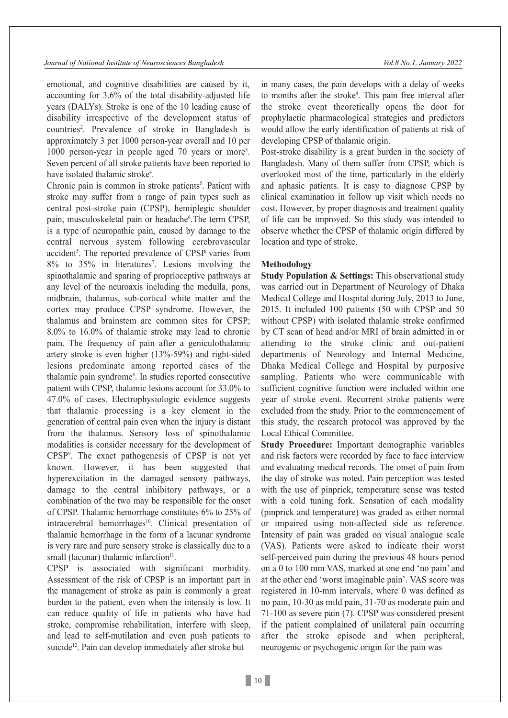emotional, and cognitive disabilities are caused by it, accounting for 3.6% of the total disability-adjusted life years (DALYs). Stroke is one of the 10 leading cause of disability irrespective of the development status of countries<sup>2</sup>. Prevalence of stroke in Bangladesh is approximately 3 per 1000 person-year overall and 10 per 1000 person-year in people aged 70 years or more<sup>3</sup>. Seven percent of all stroke patients have been reported to have isolated thalamic stroke<sup>4</sup>.

Chronic pain is common in stroke patients<sup>5</sup>. Patient with stroke may suffer from a range of pain types such as central post-stroke pain (CPSP), hemiplegic shoulder pain, musculoskeletal pain or headache<sup>6</sup>. The term CPSP, is a type of neuropathic pain, caused by damage to the central nervous system following cerebrovascular accident<sup>5</sup>. The reported prevalence of CPSP varies from 8% to 35% in literatures7 . Lesions involving the spinothalamic and sparing of proprioceptive pathways at any level of the neuroaxis including the medulla, pons, midbrain, thalamus, sub-cortical white matter and the cortex may produce CPSP syndrome. However, the thalamus and brainstem are common sites for CPSP; 8.0% to 16.0% of thalamic stroke may lead to chronic pain. The frequency of pain after a geniculothalamic artery stroke is even higher (13%-59%) and right-sided lesions predominate among reported cases of the thalamic pain syndrome<sup>8</sup>. In studies reported consecutive patient with CPSP, thalamic lesions account for 33.0% to 47.0% of cases. Electrophysiologic evidence suggests that thalamic processing is a key element in the generation of central pain even when the injury is distant from the thalamus. Sensory loss of spinothalamic modalities is consider necessary for the development of CPSP9 . The exact pathogenesis of CPSP is not yet known. However, it has been suggested that hyperexcitation in the damaged sensory pathways, damage to the central inhibitory pathways, or a combination of the two may be responsible for the onset of CPSP. Thalamic hemorrhage constitutes 6% to 25% of intracerebral hemorrhages<sup>10</sup>. Clinical presentation of thalamic hemorrhage in the form of a lacunar syndrome is very rare and pure sensory stroke is classically due to a small (lacunar) thalamic infarction $11$ .

CPSP is associated with significant morbidity. Assessment of the risk of CPSP is an important part in the management of stroke as pain is commonly a great burden to the patient, even when the intensity is low. It can reduce quality of life in patients who have had stroke, compromise rehabilitation, interfere with sleep, and lead to self-mutilation and even push patients to suicide<sup>12</sup>. Pain can develop immediately after stroke but

in many cases, the pain develops with a delay of weeks to months after the stroke<sup>4</sup>. This pain free interval after the stroke event theoretically opens the door for prophylactic pharmacological strategies and predictors would allow the early identification of patients at risk of developing CPSP of thalamic origin.

Post-stroke disability is a great burden in the society of Bangladesh. Many of them suffer from CPSP, which is overlooked most of the time, particularly in the elderly and aphasic patients. It is easy to diagnose CPSP by clinical examination in follow up visit which needs no cost. However, by proper diagnosis and treatment quality of life can be improved. So this study was intended to observe whether the CPSP of thalamic origin differed by location and type of stroke.

## **Methodology**

**Study Population & Settings:** This observational study was carried out in Department of Neurology of Dhaka Medical College and Hospital during July, 2013 to June, 2015. It included 100 patients (50 with CPSP and 50 without CPSP) with isolated thalamic stroke confirmed by CT scan of head and/or MRI of brain admitted in or attending to the stroke clinic and out-patient departments of Neurology and Internal Medicine, Dhaka Medical College and Hospital by purposive sampling. Patients who were communicable with sufficient cognitive function were included within one year of stroke event. Recurrent stroke patients were excluded from the study. Prior to the commencement of this study, the research protocol was approved by the Local Ethical Committee.

**Study Procedure:** Important demographic variables and risk factors were recorded by face to face interview and evaluating medical records. The onset of pain from the day of stroke was noted. Pain perception was tested with the use of pinprick, temperature sense was tested with a cold tuning fork. Sensation of each modality (pinprick and temperature) was graded as either normal or impaired using non-affected side as reference. Intensity of pain was graded on visual analogue scale (VAS). Patients were asked to indicate their worst self-perceived pain during the previous 48 hours period on a 0 to 100 mm VAS, marked at one end 'no pain' and at the other end 'worst imaginable pain'. VAS score was registered in 10-mm intervals, where 0 was defined as no pain, 10-30 as mild pain, 31-70 as moderate pain and 71-100 as severe pain (7). CPSP was considered present if the patient complained of unilateral pain occurring after the stroke episode and when peripheral, neurogenic or psychogenic origin for the pain was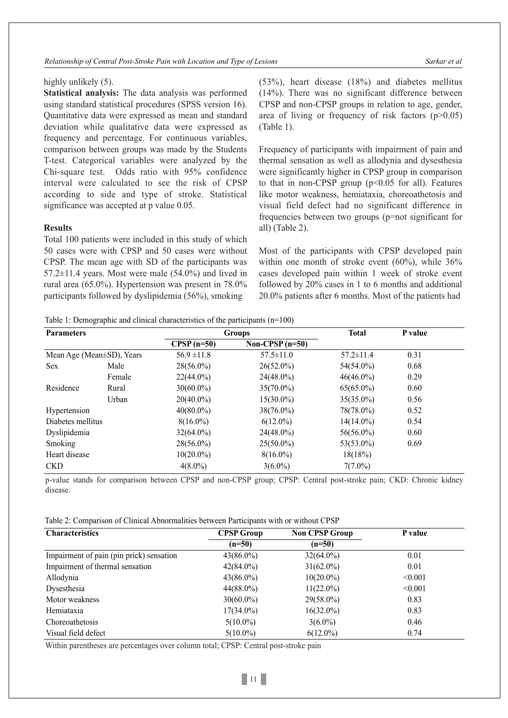*Relationship of Central Post-Stroke Pain with Location and Type of Lesions Sarkar et al*

## highly unlikely (5).

**Statistical analysis:** The data analysis was performed using standard statistical procedures (SPSS version 16). Quantitative data were expressed as mean and standard deviation while qualitative data were expressed as frequency and percentage. For continuous variables, comparison between groups was made by the Students T-test. Categorical variables were analyzed by the Chi-square test. Odds ratio with 95% confidence interval were calculated to see the risk of CPSP according to side and type of stroke. Statistical significance was accepted at p value 0.05.

## **Results**

Total 100 patients were included in this study of which 50 cases were with CPSP and 50 cases were without CPSP. The mean age with SD of the participants was  $57.2\pm11.4$  years. Most were male  $(54.0\%)$  and lived in rural area (65.0%). Hypertension was present in 78.0% participants followed by dyslipidemia (56%), smoking

(53%), heart disease (18%) and diabetes mellitus (14%). There was no significant difference between CPSP and non-CPSP groups in relation to age, gender, area of living or frequency of risk factors  $(p>0.05)$ (Table 1).

Frequency of participants with impairment of pain and thermal sensation as well as allodynia and dysesthesia were significantly higher in CPSP group in comparison to that in non-CPSP group  $(p<0.05$  for all). Features like motor weakness, hemiataxia, choreoathetosis and visual field defect had no significant difference in frequencies between two groups (p=not significant for all) (Table 2).

Most of the participants with CPSP developed pain within one month of stroke event (60%), while 36% cases developed pain within 1 week of stroke event followed by 20% cases in 1 to 6 months and additional 20.0% patients after 6 months. Most of the patients had

| Table 1: Demographic and clinical characteristics of the participants $(n=100)$ |  |  |  |  |  |  |  |
|---------------------------------------------------------------------------------|--|--|--|--|--|--|--|
|---------------------------------------------------------------------------------|--|--|--|--|--|--|--|

| <b>Parameters</b>         |        | <b>Groups</b>   |                   | <b>Total</b>    | P value |
|---------------------------|--------|-----------------|-------------------|-----------------|---------|
|                           |        | $CPSP(n=50)$    | Non-CPSP $(n=50)$ |                 |         |
| Mean Age (Mean±SD), Years |        | $56.9 \pm 11.8$ | $57.5 \pm 11.0$   | $57.2 \pm 11.4$ | 0.31    |
| <b>Sex</b>                | Male   | $28(56.0\%)$    | $26(52.0\%)$      | 54(54.0%)       | 0.68    |
|                           | Female | $22(44.0\%)$    | $24(48.0\%)$      | $46(46.0\%)$    | 0.29    |
| Residence                 | Rural  | $30(60.0\%)$    | $35(70.0\%)$      | $65(65.0\%)$    | 0.60    |
|                           | Urban  | $20(40.0\%)$    | $15(30.0\%)$      | $35(35.0\%)$    | 0.56    |
| Hypertension              |        | $40(80.0\%)$    | $38(76.0\%)$      | 78(78.0%)       | 0.52    |
| Diabetes mellitus         |        | $8(16.0\%)$     | $6(12.0\%)$       | $14(14.0\%)$    | 0.54    |
| Dyslipidemia              |        | $32(64.0\%)$    | $24(48.0\%)$      | $56(56.0\%)$    | 0.60    |
| Smoking                   |        | $28(56.0\%)$    | $25(50.0\%)$      | $53(53.0\%)$    | 0.69    |
| Heart disease             |        | $10(20.0\%)$    | $8(16.0\%)$       | 18(18%)         |         |
| <b>CKD</b>                |        | $4(8.0\%)$      | $3(6.0\%)$        | $7(7.0\%)$      |         |

p-value stands for comparison between CPSP and non-CPSP group; CPSP: Central post-stroke pain; CKD: Chronic kidney disease.

Table 2: Comparison of Clinical Abnormalities between Participants with or without CPSP

| <b>Characteristics</b>                   | <b>CPSP Group</b> | <b>Non CPSP Group</b> | P value |
|------------------------------------------|-------------------|-----------------------|---------|
|                                          | $(n=50)$          | $(n=50)$              |         |
| Impairment of pain (pin prick) sensation | $43(86.0\%)$      | $32(64.0\%)$          | 0.01    |
| Impairment of thermal sensation          | $42(84.0\%)$      | $31(62.0\%)$          | 0.01    |
| Allodynia                                | $43(86.0\%)$      | $10(20.0\%)$          | < 0.001 |
| Dysesthesia                              | $44(88.0\%)$      | $11(22.0\%)$          | < 0.001 |
| Motor weakness                           | $30(60.0\%)$      | 29(58.0%)             | 0.83    |
| Hemiataxia                               | $17(34.0\%)$      | $16(32.0\%)$          | 0.83    |
| Choreoathetosis                          | $5(10.0\%)$       | $3(6.0\%)$            | 0.46    |
| Visual field defect                      | $5(10.0\%)$       | $6(12.0\%)$           | 0.74    |

Within parentheses are percentages over column total; CPSP: Central post-stroke pain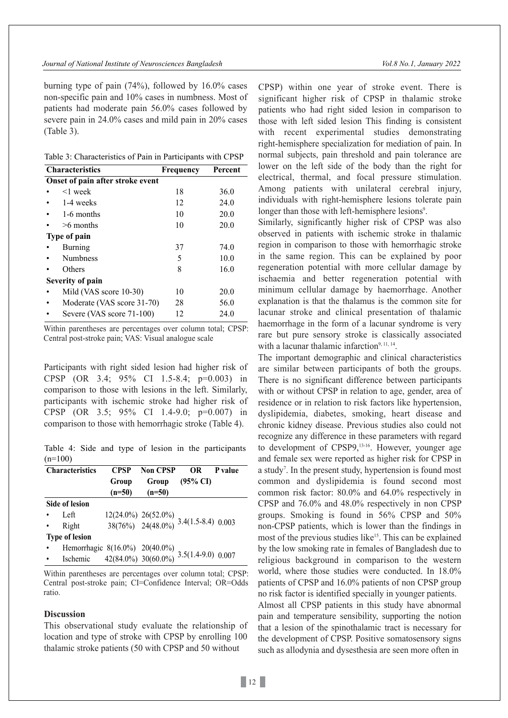#### *Journal of National Institute of Neurosciences Bangladesh Vol.8 No.1, January 2022*

burning type of pain (74%), followed by 16.0% cases non-specific pain and 10% cases in numbness. Most of patients had moderate pain 56.0% cases followed by severe pain in 24.0% cases and mild pain in 20% cases (Table 3).

Table 3: Characteristics of Pain in Participants with CPSP

| <b>Characteristics</b>           | Frequency | Percent |  |  |  |
|----------------------------------|-----------|---------|--|--|--|
| Onset of pain after stroke event |           |         |  |  |  |
| <1 week                          | 18        | 36.0    |  |  |  |
| 1-4 weeks                        | 12        | 24.0    |  |  |  |
| 1-6 months                       | 10        | 20.0    |  |  |  |
| $>6$ months                      | 10        | 20.0    |  |  |  |
| Type of pain                     |           |         |  |  |  |
| Burning                          | 37        | 74.0    |  |  |  |
| <b>Numbness</b>                  | 5         | 10.0    |  |  |  |
| Others                           | 8         | 16.0    |  |  |  |
| Severity of pain                 |           |         |  |  |  |
| Mild (VAS score 10-30)           | 10        | 20.0    |  |  |  |
| Moderate (VAS score 31-70)       | 28        | 56.0    |  |  |  |
| Severe (VAS score 71-100)        | 12        | 24.0    |  |  |  |

Within parentheses are percentages over column total; CPSP: Central post-stroke pain; VAS: Visual analogue scale

Participants with right sided lesion had higher risk of CPSP (OR 3.4; 95% CI 1.5-8.4; p=0.003) in comparison to those with lesions in the left. Similarly, participants with ischemic stroke had higher risk of CPSP (OR 3.5; 95% CI 1.4-9.0; p=0.007) in comparison to those with hemorrhagic stroke (Table 4).

Table 4: Side and type of lesion in the participants  $(n=100)$ 

| <b>Characteristics</b>                                                            | <b>CPSP</b> | <b>Non CPSP</b>                                                                            | <b>OR</b>           | P value |  |
|-----------------------------------------------------------------------------------|-------------|--------------------------------------------------------------------------------------------|---------------------|---------|--|
|                                                                                   | Group       | Group                                                                                      | $(95\% \text{ CI})$ |         |  |
|                                                                                   | $(n=50)$    | $(n=50)$                                                                                   |                     |         |  |
| Side of lesion                                                                    |             |                                                                                            |                     |         |  |
| Left                                                                              |             | $\frac{12(24.0\%)}{38(76\%)}$ $\frac{26(52.0\%)}{24(48.0\%)}$ $\frac{3.4(1.5-8.4)}{0.003}$ |                     |         |  |
| Right                                                                             |             |                                                                                            |                     |         |  |
| <b>Type of lesion</b>                                                             |             |                                                                                            |                     |         |  |
|                                                                                   |             |                                                                                            |                     |         |  |
| Hemorrhagic 8(16.0%) 20(40.0%)<br>Ischemic 42(84.0%) 30(60.0%) 3.5(1.4-9.0) 0.007 |             |                                                                                            |                     |         |  |

Within parentheses are percentages over column total; CPSP: Central post-stroke pain; CI=Confidence Interval; OR=Odds ratio.

## **Discussion**

This observational study evaluate the relationship of location and type of stroke with CPSP by enrolling 100 thalamic stroke patients (50 with CPSP and 50 without

CPSP) within one year of stroke event. There is significant higher risk of CPSP in thalamic stroke patients who had right sided lesion in comparison to those with left sided lesion This finding is consistent with recent experimental studies demonstrating right-hemisphere specialization for mediation of pain. In normal subjects, pain threshold and pain tolerance are lower on the left side of the body than the right for electrical, thermal, and focal pressure stimulation. Among patients with unilateral cerebral injury, individuals with right-hemisphere lesions tolerate pain longer than those with left-hemisphere lesions<sup>9</sup>.

Similarly, significantly higher risk of CPSP was also observed in patients with ischemic stroke in thalamic region in comparison to those with hemorrhagic stroke in the same region. This can be explained by poor regeneration potential with more cellular damage by ischaemia and better regeneration potential with minimum cellular damage by haemorrhage. Another explanation is that the thalamus is the common site for lacunar stroke and clinical presentation of thalamic haemorrhage in the form of a lacunar syndrome is very rare but pure sensory stroke is classically associated with a lacunar thalamic infarction<sup>9, 11, 14</sup>.

The important demographic and clinical characteristics are similar between participants of both the groups. There is no significant difference between participants with or without CPSP in relation to age, gender, area of residence or in relation to risk factors like hypertension, dyslipidemia, diabetes, smoking, heart disease and chronic kidney disease. Previous studies also could not recognize any difference in these parameters with regard to development of CPSP9, 13-16. However, younger age and female sex were reported as higher risk for CPSP in a study<sup>7</sup>. In the present study, hypertension is found most common and dyslipidemia is found second most common risk factor: 80.0% and 64.0% respectively in CPSP and 76.0% and 48.0% respectively in non CPSP groups. Smoking is found in 56% CPSP and 50% non-CPSP patients, which is lower than the findings in most of the previous studies like<sup>15</sup>. This can be explained by the low smoking rate in females of Bangladesh due to religious background in comparison to the western world, where those studies were conducted. In 18.0% patients of CPSP and 16.0% patients of non CPSP group no risk factor is identified specially in younger patients. Almost all CPSP patients in this study have abnormal pain and temperature sensibility, supporting the notion that a lesion of the spinothalamic tract is necessary for the development of CPSP. Positive somatosensory signs such as allodynia and dysesthesia are seen more often in